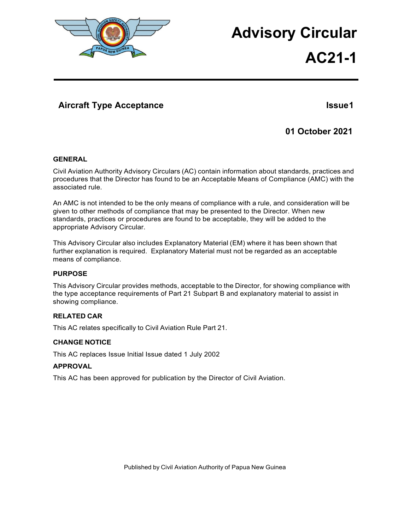

# **Advisory Circular**

# **AC21-1**

## **Aircraft Type Acceptance Issue 1**

## **01 October 2021**

## **GENERAL**

Civil Aviation Authority Advisory Circulars (AC) contain information about standards, practices and procedures that the Director has found to be an Acceptable Means of Compliance (AMC) with the associated rule.

An AMC is not intended to be the only means of compliance with a rule, and consideration will be given to other methods of compliance that may be presented to the Director. When new standards, practices or procedures are found to be acceptable, they will be added to the appropriate Advisory Circular.

This Advisory Circular also includes Explanatory Material (EM) where it has been shown that further explanation is required. Explanatory Material must not be regarded as an acceptable means of compliance.

#### **PURPOSE**

This Advisory Circular provides methods, acceptable to the Director, for showing compliance with the type acceptance requirements of Part 21 Subpart B and explanatory material to assist in showing compliance.

## **RELATED CAR**

This AC relates specifically to Civil Aviation Rule Part 21.

## **CHANGE NOTICE**

This AC replaces Issue Initial Issue dated 1 July 2002

## **APPROVAL**

This AC has been approved for publication by the Director of Civil Aviation.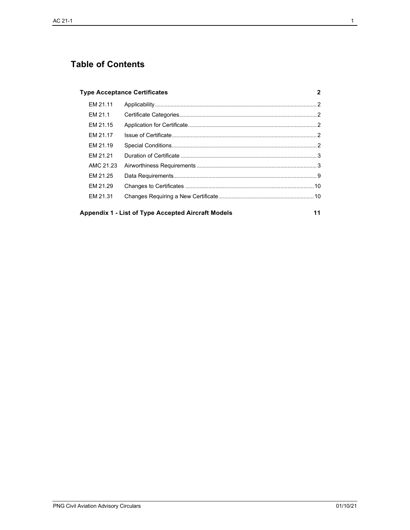# **Table of Contents**

### **Type [Acceptance](#page-2-0) Certificates 2**

| EM 21.11  |  |
|-----------|--|
| FM 21.1   |  |
| EM 21.15  |  |
| FM 21.17  |  |
| EM 21.19  |  |
| FM 21.21  |  |
| AMC 21.23 |  |
| FM 21.25  |  |
| FM 21.29  |  |
| EM 21.31  |  |
|           |  |

**[Appendix](#page-11-0) 1 - List of Type Accepted Aircraft Models 11**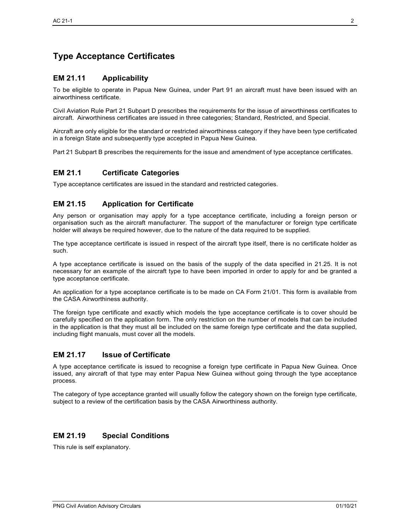# <span id="page-2-0"></span>**Type Acceptance Certificates**

## <span id="page-2-1"></span>**EM 21.11 Applicability**

To be eligible to operate in Papua New Guinea, under Part 91 an aircraft must have been issued with an airworthiness certificate.

Civil Aviation Rule Part 21 Subpart D prescribes the requirements for the issue of airworthiness certificates to aircraft. Airworthiness certificates are issued in three categories; Standard, Restricted, and Special.

Aircraft are only eligible for the standard or restricted airworthiness category if they have been type certificated in a foreign State and subsequently type accepted in Papua New Guinea.

Part 21 Subpart B prescribes the requirements for the issue and amendment of type acceptance certificates.

## <span id="page-2-2"></span>**EM 21.1 Certificate Categories**

Type acceptance certificates are issued in the standard and restricted categories.

## <span id="page-2-3"></span>**EM 21.15 Application for Certificate**

Any person or organisation may apply for a type acceptance certificate, including a foreign person or organisation such as the aircraft manufacturer. The support of the manufacturer or foreign type certificate holder will always be required however, due to the nature of the data required to be supplied.

The type acceptance certificate is issued in respect of the aircraft type itself, there is no certificate holder as such.

A type acceptance certificate is issued on the basis of the supply of the data specified in 21.25. It is not necessary for an example of the aircraft type to have been imported in order to apply for and be granted a type acceptance certificate.

An application for a type acceptance certificate is to be made on CA Form 21/01. This form is available from the CASA Airworthiness authority.

The foreign type certificate and exactly which models the type acceptance certificate is to cover should be carefully specified on the application form. The only restriction on the number of models that can be included in the application is that they must all be included on the same foreign type certificate and the data supplied, including flight manuals, must cover all the models.

## <span id="page-2-4"></span>**EM 21.17 Issue of Certificate**

A type acceptance certificate is issued to recognise a foreign type certificate in Papua New Guinea. Once issued, any aircraft of that type may enter Papua New Guinea without going through the type acceptance process.

The category of type acceptance granted will usually follow the category shown on the foreign type certificate, subject to a review of the certification basis by the CASA Airworthiness authority.

## <span id="page-2-5"></span>**EM 21.19 Special Conditions**

This rule is self explanatory.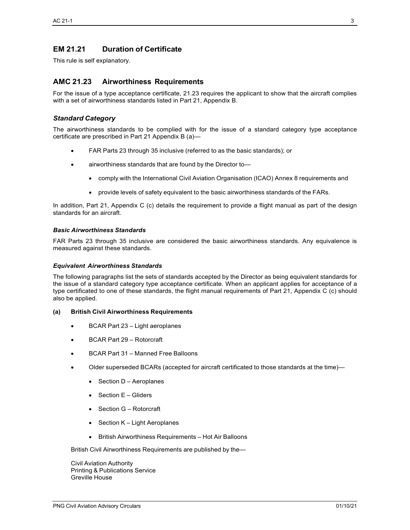## <span id="page-3-0"></span>**EM 21.21 Duration of Certificate**

This rule is self explanatory.

## <span id="page-3-1"></span>**AMC 21.23 Airworthiness Requirements**

For the issue of a type acceptance certificate, 21.23 requires the applicant to show that the aircraft complies with a set of airworthiness standards listed in Part 21, Appendix B.

### *Standard Category*

The airworthiness standards to be complied with for the issue of a standard category type acceptance certificate are prescribed in Part 21 Appendix B (a)—

- FAR Parts 23 through 35 inclusive (referred to as the basic standards); or
- airworthiness standards that are found by the Director to—
	- comply with the International Civil Aviation Organisation (ICAO) Annex 8 requirements and
	- provide levels of safety equivalent to the basic airworthiness standards of the FARs.

In addition, Part 21, Appendix C (c) details the requirement to provide a flight manual as part of the design standards for an aircraft.

#### *Basic Airworthiness Standards*

FAR Parts 23 through 35 inclusive are considered the basic airworthiness standards. Any equivalence is measured against these standards.

#### *Equivalent Airworthiness Standards*

The following paragraphs list the sets of standards accepted by the Director as being equivalent standards for the issue of a standard category type acceptance certificate. When an applicant applies for acceptance of a type certificated to one of these standards, the flight manual requirements of Part 21, Appendix C (c) should also be applied.

#### **(a) British Civil Airworthiness Requirements**

- BCAR Part 23 Light aeroplanes
- BCAR Part 29 Rotorcraft
- BCAR Part 31 Manned Free Balloons
- Older superseded BCARs (accepted for aircraft certificated to those standards at the time)—
	- Section D Aeroplanes
	- Section E Gliders
	- Section G Rotorcraft
	- Section K Light Aeroplanes
	- British Airworthiness Requirements Hot Air Balloons

British Civil Airworthiness Requirements are published by the—

Civil Aviation Authority Printing & Publications Service Greville House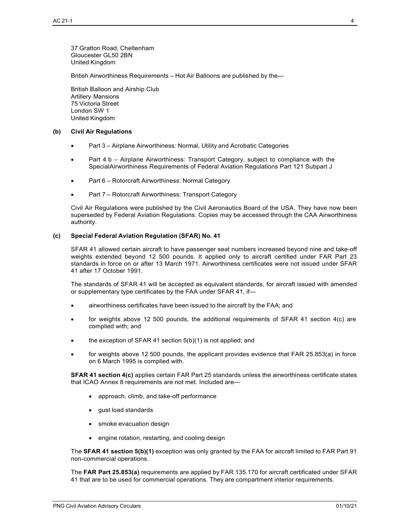37 Gratton Road, Cheltenham Gloucester GL50 2BN United Kingdom

British Airworthiness Requirements – Hot Air Balloons are published by the—

British Balloon and Airship Club Artillery Mansions 75 Victoria Street London SW 1 United Kingdom

#### **(b) Civil Air Regulations**

- Part 3 Airplane Airworthiness: Normal, Utility and Acrobatic Categories
- Part 4 b Airplane Airworthiness: Transport Category, subject to compliance with the SpecialAirworthiness Requirements of Federal Aviation Regulations Part 121 Subpart J
- Part 6 Rotorcraft Airworthiness: Normal Category
- Part 7 Rotorcraft Airworthiness: Transport Category

Civil Air Regulations were published by the Civil Aeronautics Board of the USA. They have now been superseded by Federal Aviation Regulations. Copies may be accessed through the CAA Airworthiness authority.

#### **(c) Special Federal Aviation Regulation (SFAR) No. 41**

SFAR 41 allowed certain aircraft to have passenger seat numbers increased beyond nine and take-off weights extended beyond 12 500 pounds. It applied only to aircraft certified under FAR Part 23 standards in force on or after 13 March 1971. Airworthiness certificates were not issued under SFAR 41 after 17 October 1991.

The standards of SFAR 41 will be accepted as equivalent standards, for aircraft issued with amended or supplementary type certificates by the FAA under SFAR 41, if—

- airworthiness certificates have been issued to the aircraft by the FAA; and
- for weights above 12 500 pounds, the additional requirements of SFAR 41 section 4(c) are complied with; and
- the exception of SFAR 41 section  $5(b)(1)$  is not applied; and
- for weights above 12 500 pounds, the applicant provides evidence that FAR 25.853(a) in force on 6 March 1995 is complied with.

**SFAR 41 section 4(c)** applies certain FAR Part 25 standards unless the airworthiness certificate states that ICAO Annex 8 requirements are not met. Included are—

- approach, climb, and take-off performance
- gust load standards
- smoke evacuation design
- engine rotation, restarting, and cooling design

The **SFAR 41 section 5(b)(1)** exception was only granted by the FAA for aircraft limited to FAR Part 91 non-commercial operations.

The **FAR Part 25.853(a)** requirements are applied by FAR 135.170 for aircraft certificated under SFAR 41 that are to be used for commercial operations. They are compartment interior requirements.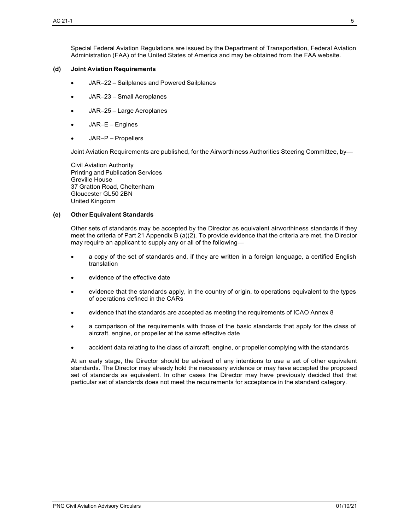#### **(d) Joint Aviation Requirements**

- JAR–22 Sailplanes and Powered Sailplanes
- JAR–23 Small Aeroplanes
- JAR–25 Large Aeroplanes
- JAR–E Engines
- JAR–P Propellers

Joint Aviation Requirements are published, for the Airworthiness Authorities Steering Committee, by—

Civil Aviation Authority Printing and Publication Services Greville House 37 Gratton Road, Cheltenham Gloucester GL50 2BN United Kingdom

#### **(e) Other Equivalent Standards**

Other sets of standards may be accepted by the Director as equivalent airworthiness standards if they meet the criteria of Part 21 Appendix B (a)(2). To provide evidence that the criteria are met, the Director may require an applicant to supply any or all of the following—

- a copy of the set of standards and, if they are written in a foreign language, a certified English translation
- evidence of the effective date
- evidence that the standards apply, in the country of origin, to operations equivalent to the types of operations defined in the CARs
- evidence that the standards are accepted as meeting the requirements of ICAO Annex 8
- a comparison of the requirements with those of the basic standards that apply for the class of aircraft, engine, or propeller at the same effective date
- accident data relating to the class of aircraft, engine, or propeller complying with the standards

At an early stage, the Director should be advised of any intentions to use a set of other equivalent standards. The Director may already hold the necessary evidence or may have accepted the proposed set of standards as equivalent. In other cases the Director may have previously decided that that particular set of standards does not meet the requirements for acceptance in the standard category.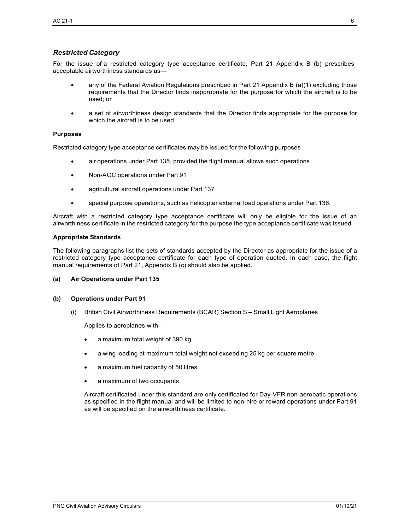## *Restricted Category*

For the issue of a restricted category type acceptance certificate, Part 21 Appendix B (b) prescribes acceptable airworthiness standards as—

- any of the Federal Aviation Regulations prescribed in Part 21 Appendix B (a)(1) excluding those requirements that the Director finds inappropriate for the purpose for which the aircraft is to be used; or
- a set of airworthiness design standards that the Director finds appropriate for the purpose for which the aircraft is to be used

#### **Purposes**

Restricted category type acceptance certificates may be issued for the following purposes—

- air operations under Part 135, provided the flight manual allows such operations
- Non-AOC operations under Part 91
- agricultural aircraft operations under Part 137
- special purpose operations, such as helicopter external load operations under Part 136.

Aircraft with a restricted category type acceptance certificate will only be eligible for the issue of an airworthiness certificate in the restricted category for the purpose the type acceptance certificate was issued.

#### **Appropriate Standards**

The following paragraphs list the sets of standards accepted by the Director as appropriate for the issue of a restricted category type acceptance certificate for each type of operation quoted. In each case, the flight manual requirements of Part 21, Appendix B (c) should also be applied.

#### **(a) Air Operations under Part 135**

#### **(b) Operations under Part 91**

(i) British Civil Airworthiness Requirements (BCAR) Section S – Small Light Aeroplanes

Applies to aeroplanes with—

- a maximum total weight of 390 kg
- a wing loading at maximum total weight not exceeding 25 kg per square metre
- a maximum fuel capacity of 50 litres
- a maximum of two occupants

Aircraft certificated under this standard are only certificated for Day-VFR non-aerobatic operations as specified in the flight manual and will be limited to non-hire or reward operations under Part 91 as will be specified on the airworthiness certificate.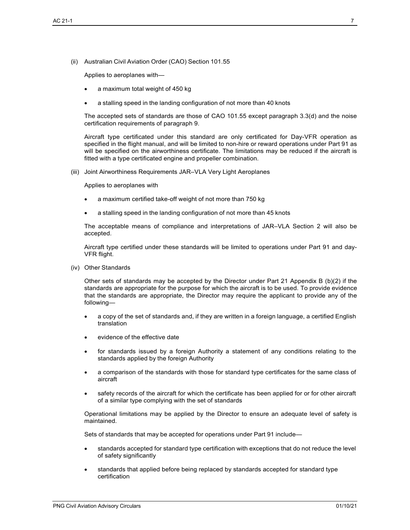(ii) Australian Civil Aviation Order (CAO) Section 101.55

Applies to aeroplanes with—

- a maximum total weight of 450 kg
- a stalling speed in the landing configuration of not more than 40 knots

The accepted sets of standards are those of CAO 101.55 except paragraph 3.3(d) and the noise certification requirements of paragraph 9.

Aircraft type certificated under this standard are only certificated for Day-VFR operation as specified in the flight manual, and will be limited to non-hire or reward operations under Part 91 as will be specified on the airworthiness certificate. The limitations may be reduced if the aircraft is fitted with a type certificated engine and propeller combination.

(iii) Joint Airworthiness Requirements JAR–VLA Very Light Aeroplanes

Applies to aeroplanes with

- a maximum certified take-off weight of not more than 750 kg
- a stalling speed in the landing configuration of not more than 45 knots

The acceptable means of compliance and interpretations of JAR–VLA Section 2 will also be accepted.

Aircraft type certified under these standards will be limited to operations under Part 91 and day-VFR flight.

(iv) Other Standards

Other sets of standards may be accepted by the Director under Part 21 Appendix B (b)(2) if the standards are appropriate for the purpose for which the aircraft is to be used. To provide evidence that the standards are appropriate, the Director may require the applicant to provide any of the following—

- a copy of the set of standards and, if they are written in a foreign language, a certified English translation
- evidence of the effective date
- for standards issued by a foreign Authority a statement of any conditions relating to the standards applied by the foreign Authority
- a comparison of the standards with those for standard type certificates for the same class of aircraft
- safety records of the aircraft for which the certificate has been applied for or for other aircraft of a similar type complying with the set of standards

Operational limitations may be applied by the Director to ensure an adequate level of safety is maintained.

Sets of standards that may be accepted for operations under Part 91 include—

- standards accepted for standard type certification with exceptions that do not reduce the level of safety significantly
- standards that applied before being replaced by standards accepted for standard type certification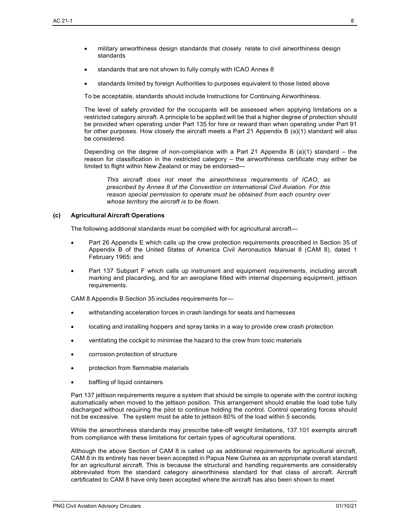- military airworthiness design standards that closely relate to civil airworthiness design standards
- standards that are not shown to fully comply with ICAO Annex 8
- standards limited by foreign Authorities to purposes equivalent to those listed above

To be acceptable, standards should include Instructions for Continuing Airworthiness.

The level of safety provided for the occupants will be assessed when applying limitations on a restricted category aircraft. A principle to be applied will be that a higher degree of protection should be provided when operating under Part 135 for hire or reward than when operating under Part 91 for other purposes. How closely the aircraft meets a Part 21 Appendix B (a)(1) standard will also be considered.

Depending on the degree of non-compliance with a Part 21 Appendix B  $(a)(1)$  standard – the reason for classification in the restricted category – the airworthiness certificate may either be limited to flight within New Zealand or may be endorsed—

*This aircraft does not meet the airworthiness requirements of ICAO, as prescribed by Annex 8 of the Convention on International Civil Aviation. For this reason special permission to operate must be obtained from each country over whose territory the aircraft is to be flown*.

#### **(c) Agricultural Aircraft Operations**

The following additional standards must be complied with for agricultural aircraft—

- Part 26 Appendix E which calls up the crew protection requirements prescribed in Section 35 of Appendix B of the United States of America Civil Aeronautics Manual 8 (CAM 8), dated 1 February 1965; and
- Part 137 Subpart F which calls up instrument and equipment requirements, including aircraft marking and placarding, and for an aeroplane fitted with internal dispensing equipment, jettison requirements.

CAM 8 Appendix B Section 35 includes requirements for—

- withstanding acceleration forces in crash landings for seats and harnesses
- locating and installing hoppers and spray tanks in a way to provide crew crash protection
- ventilating the cockpit to minimise the hazard to the crew from toxic materials
- corrosion protection of structure
- protection from flammable materials
- baffling of liquid containers

Part 137 jettison requirements require a system that should be simple to operate with the control locking automatically when moved to the jettison position. This arrangement should enable the load tobe fully discharged without requiring the pilot to continue holding the control. Control operating forces should not be excessive. The system must be able to jettison 80% of the load within 5 seconds.

While the airworthiness standards may prescribe take-off weight limitations, 137.101 exempts aircraft from compliance with these limitations for certain types of agricultural operations.

Although the above Section of CAM 8 is called up as additional requirements for agricultural aircraft, CAM 8 in its entirety has never been accepted in Papua New Guinea as an appropriate overall standard for an agricultural aircraft. This is because the structural and handling requirements are considerably abbreviated from the standard category airworthiness standard for that class of aircraft. Aircraft certificated to CAM 8 have only been accepted where the aircraft has also been shown to meet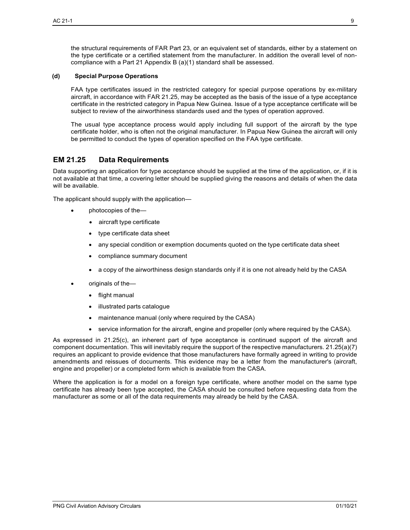the structural requirements of FAR Part 23, or an equivalent set of standards, either by a statement on the type certificate or a certified statement from the manufacturer. In addition the overall level of noncompliance with a Part 21 Appendix B (a)(1) standard shall be assessed.

#### **(d) Special Purpose Operations**

FAA type certificates issued in the restricted category for special purpose operations by ex-military aircraft, in accordance with FAR 21.25, may be accepted as the basis of the issue of a type acceptance certificate in the restricted category in Papua New Guinea. Issue of a type acceptance certificate will be subject to review of the airworthiness standards used and the types of operation approved.

The usual type acceptance process would apply including full support of the aircraft by the type certificate holder, who is often not the original manufacturer. In Papua New Guinea the aircraft will only be permitted to conduct the types of operation specified on the FAA type certificate.

## <span id="page-9-0"></span>**EM 21.25 Data Requirements**

Data supporting an application for type acceptance should be supplied at the time of the application, or, if it is not available at that time, a covering letter should be supplied giving the reasons and details of when the data will be available.

The applicant should supply with the application—

- photocopies of the—
	- aircraft type certificate
	- type certificate data sheet
	- any special condition or exemption documents quoted on the type certificate data sheet
	- compliance summary document
	- a copy of the airworthiness design standards only if it is one not already held by the CASA
- originals of the—
	- flight manual
	- illustrated parts catalogue
	- maintenance manual (only where required by the CASA)
	- service information for the aircraft, engine and propeller (only where required by the CASA).

As expressed in 21.25(c), an inherent part of type acceptance is continued support of the aircraft and component documentation. This will inevitably require the support of the respective manufacturers. 21.25(a)(7) requires an applicant to provide evidence that those manufacturers have formally agreed in writing to provide amendments and reissues of documents. This evidence may be a letter from the manufacturer's (aircraft, engine and propeller) or a completed form which is available from the CASA.

Where the application is for a model on a foreign type certificate, where another model on the same type certificate has already been type accepted, the CASA should be consulted before requesting data from the manufacturer as some or all of the data requirements may already be held by the CASA.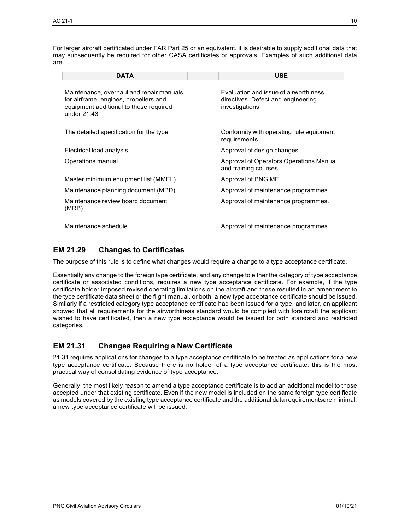| <b>DATA</b>                                                                                                                                  | <b>USE</b>                                                                                     |
|----------------------------------------------------------------------------------------------------------------------------------------------|------------------------------------------------------------------------------------------------|
| Maintenance, overhaul and repair manuals<br>for airframe, engines, propellers and<br>equipment additional to those required<br>under $21.43$ | Evaluation and issue of airworthiness<br>directives. Defect and engineering<br>investigations. |
| The detailed specification for the type                                                                                                      | Conformity with operating rule equipment<br>requirements.                                      |
| Electrical load analysis                                                                                                                     | Approval of design changes.                                                                    |
| Operations manual                                                                                                                            | Approval of Operators Operations Manual<br>and training courses.                               |
| Master minimum equipment list (MMEL)                                                                                                         | Approval of PNG MEL.                                                                           |
| Maintenance planning document (MPD)                                                                                                          | Approval of maintenance programmes.                                                            |
| Maintenance review board document<br>(MRB)                                                                                                   | Approval of maintenance programmes.                                                            |
| Maintenance schedule                                                                                                                         | Approval of maintenance programmes.                                                            |

## <span id="page-10-0"></span>**EM 21.29 Changes to Certificates**

The purpose of this rule is to define what changes would require a change to a type acceptance certificate.

Essentially any change to the foreign type certificate, and any change to either the category of type acceptance certificate or associated conditions, requires a new type acceptance certificate. For example, if the type certificate holder imposed revised operating limitations on the aircraft and these resulted in an amendment to the type certificate data sheet or the flight manual, or both, a new type acceptance certificate should be issued. Similarly if a restricted category type acceptance certificate had been issued for a type, and later, an applicant showed that all requirements for the airworthiness standard would be complied with foraircraft the applicant wished to have certificated, then a new type acceptance would be issued for both standard and restricted categories.

## <span id="page-10-1"></span>**EM 21.31 Changes Requiring a New Certificate**

21.31 requires applications for changes to a type acceptance certificate to be treated as applications for a new type acceptance certificate. Because there is no holder of a type acceptance certificate, this is the most practical way of consolidating evidence of type acceptance.

Generally, the most likely reason to amend a type acceptance certificate is to add an additional model to those accepted under that existing certificate. Even if the new model is included on the same foreign type certificate as models covered by the existing type acceptance certificate and the additional data requirementsare minimal, a new type acceptance certificate will be issued.